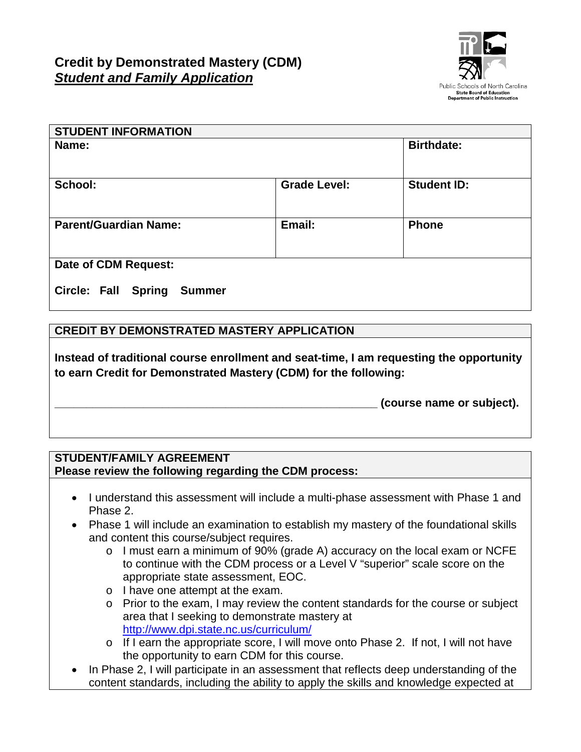

| <b>STUDENT INFORMATION</b>                  |                     |                    |
|---------------------------------------------|---------------------|--------------------|
| Name:                                       |                     | <b>Birthdate:</b>  |
| School:                                     | <b>Grade Level:</b> | <b>Student ID:</b> |
| <b>Parent/Guardian Name:</b>                | Email:              | <b>Phone</b>       |
| Date of CDM Request:                        |                     |                    |
| <b>Circle: Fall Spring</b><br><b>Summer</b> |                     |                    |

## **CREDIT BY DEMONSTRATED MASTERY APPLICATION**

**Instead of traditional course enrollment and seat-time, I am requesting the opportunity to earn Credit for Demonstrated Mastery (CDM) for the following:**

**\_\_\_\_\_\_\_\_\_\_\_\_\_\_\_\_\_\_\_\_\_\_\_\_\_\_\_\_\_\_\_\_\_\_\_\_\_\_\_\_\_\_\_\_\_\_\_\_\_\_\_ (course name or subject).**

## **STUDENT/FAMILY AGREEMENT Please review the following regarding the CDM process:**

- I understand this assessment will include a multi-phase assessment with Phase 1 and Phase 2.
- Phase 1 will include an examination to establish my mastery of the foundational skills and content this course/subject requires.
	- o I must earn a minimum of 90% (grade A) accuracy on the local exam or NCFE to continue with the CDM process or a Level V "superior" scale score on the appropriate state assessment, EOC.
	- o I have one attempt at the exam.
	- o Prior to the exam, I may review the content standards for the course or subject area that I seeking to demonstrate mastery at <http://www.dpi.state.nc.us/curriculum/>
	- o If I earn the appropriate score, I will move onto Phase 2. If not, I will not have the opportunity to earn CDM for this course.
- In Phase 2, I will participate in an assessment that reflects deep understanding of the content standards, including the ability to apply the skills and knowledge expected at